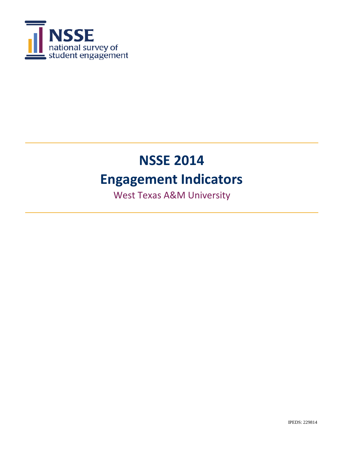

West Texas A&M University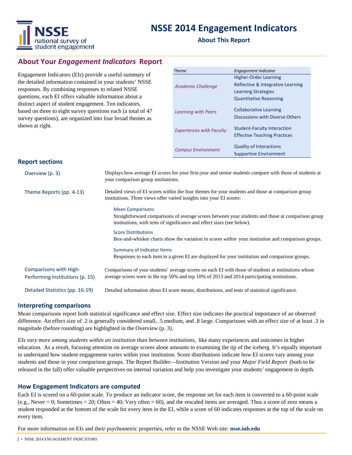

# **About Your** *Engagement Indicators* **Report**

Engagement Indicators (EIs) provide a useful summary of the detailed information contained in your students' NSSE responses. By combining responses to related NSSE questions, each EI offers valuable information about a distinct aspect of student engagement. Ten indicators, based on three to eight survey questions each (a total of 47 survey questions), are organized into four broad themes as shown at right.

| <b>Theme</b>                    | Engagement Indicator                |
|---------------------------------|-------------------------------------|
|                                 | <b>Higher-Order Learning</b>        |
| Academic Challenge              | Reflective & Integrative Learning   |
|                                 | <b>Learning Strategies</b>          |
|                                 | <b>Quantitative Reasoning</b>       |
|                                 | <b>Collaborative Learning</b>       |
| Learning with Peers             | Discussions with Diverse Others     |
|                                 |                                     |
| <b>Experiences with Faculty</b> | <b>Student-Faculty Interaction</b>  |
|                                 | <b>Effective Teaching Practices</b> |
|                                 |                                     |
| <b>Campus Environment</b>       | <b>Quality of Interactions</b>      |
|                                 | <b>Supportive Environment</b>       |

#### **Report sections**

| Overview (p. 3)                                           | Displays how average EI scores for your first-year and senior students compare with those of students at<br>your comparison group institutions.                                                        |
|-----------------------------------------------------------|--------------------------------------------------------------------------------------------------------------------------------------------------------------------------------------------------------|
| Theme Reports (pp. 4-13)                                  | Detailed views of EI scores within the four themes for your students and those at comparison group<br>institutions. Three views offer varied insights into your EI scores:                             |
|                                                           | <b>Mean Comparisons</b><br>Straightforward comparisons of average scores between your students and those at comparison group<br>institutions, with tests of significance and effect sizes (see below). |
|                                                           | <b>Score Distributions</b><br>Box-and-whisker charts show the variation in scores <i>within</i> your institution and comparison groups.                                                                |
|                                                           | Summary of Indicator Items<br>Responses to each item in a given EI are displayed for your institution and comparison groups.                                                                           |
| Comparisons with High-<br>Performing Institutions (p. 15) | Comparisons of your students' average scores on each EI with those of students at institutions whose<br>average scores were in the top 50% and top 10% of 2013 and 2014 participating institutions.    |
| Detailed Statistics (pp. 16-19)                           | Detailed information about EI score means, distributions, and tests of statistical significance.                                                                                                       |

#### **Interpreting comparisons**

Mean comparisons report both statistical significance and effect size. Effect size indicates the practical importance of an observed difference. An effect size of .2 is generally considered small, .5 medium, and .8 large. Comparisons with an effect size of at least .3 in magnitude (before rounding) are highlighted in the Overview (p. 3).

*EIs vary more among students within an institution than between institutions,* like many experiences and outcomes in higher education. As a result, focusing attention on average scores alone amounts to examining the tip of the iceberg. It's equally important to understand how student engagement varies within your institution. Score distributions indicate how EI scores vary among your students and those in your comparison groups. The Report Builder—Institution Version and your *Major Field Report* (both to be released in the fall) offer valuable perspectives on internal variation and help you investigate your students' engagement in depth.

#### **How Engagement Indicators are computed**

Each EI is scored on a 60-point scale. To produce an indicator score, the response set for each item is converted to a 60-point scale (e.g., Never = 0; Sometimes = 20; Often = 40; Very often = 60), and the rescaled items are averaged. Thus a score of zero means a student responded at the bottom of the scale for every item in the EI, while a score of 60 indicates responses at the top of the scale on every item.

For more information on EIs and their psychometric properties, refer to the NSSE Web site: **nsse.iub.edu**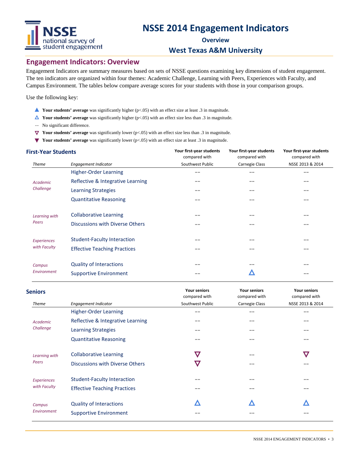

**Overview**

### **West Texas A&M University**

### **Engagement Indicators: Overview**

Engagement Indicators are summary measures based on sets of NSSE questions examining key dimensions of student engagement. The ten indicators are organized within four themes: Academic Challenge, Learning with Peers, Experiences with Faculty, and Campus Environment. The tables below compare average scores for your students with those in your comparison groups.

Use the following key:

- ▲ **Your students' average** was significantly higher (p<.05) with an effect size at least .3 in magnitude.
- △ **Your students' average** was significantly higher (p<.05) with an effect size less than .3 in magnitude.
- -- No significant difference.
- **V** Your students' average was significantly lower ( $p<.05$ ) with an effect size less than .3 in magnitude.
- ▼ **Your students' average** was significantly lower (p<.05) with an effect size at least .3 in magnitude.

| <b>First-Year Students</b> |                                     | Your first-year students<br>compared with | Your first-year students<br>compared with | Your first-year students<br>compared with |
|----------------------------|-------------------------------------|-------------------------------------------|-------------------------------------------|-------------------------------------------|
| <b>Theme</b>               | Engagement Indicator                | Southwest Public                          | <b>Carnegie Class</b>                     | NSSE 2013 & 2014                          |
|                            | <b>Higher-Order Learning</b>        | --                                        | $- -$                                     | $= -$                                     |
| Academic                   | Reflective & Integrative Learning   | --                                        | $\overline{\phantom{a}}$                  | $= -$                                     |
| Challenge                  | Learning Strategies                 | --                                        | $- -$                                     | $- -$                                     |
|                            | <b>Quantitative Reasoning</b>       | --                                        | $- -$                                     | $- -$                                     |
| Learning with              | <b>Collaborative Learning</b>       | --                                        | $- -$                                     | $- -$                                     |
| Peers                      | Discussions with Diverse Others     | --                                        | $- -$                                     | $- -$                                     |
| Experiences                | <b>Student-Faculty Interaction</b>  | --                                        | $- -$                                     | $- -$                                     |
| with Faculty               | <b>Effective Teaching Practices</b> | --                                        | $=$ $-$                                   | $= -$                                     |
| Campus                     | <b>Quality of Interactions</b>      | --                                        | $=$ $-$                                   | $- -$                                     |
| Environment                | <b>Supportive Environment</b>       | --                                        | ∕                                         | $- -$                                     |
|                            |                                     |                                           |                                           |                                           |

|                                     | <b>Your seniors</b><br>compared with | <b>Your seniors</b><br>compared with | Your seniors<br>compared with |
|-------------------------------------|--------------------------------------|--------------------------------------|-------------------------------|
| Engagement Indicator                | Southwest Public                     | Carnegie Class                       | NSSE 2013 & 2014              |
| <b>Higher-Order Learning</b>        | $- -$                                | --                                   | --                            |
| Reflective & Integrative Learning   | $= -$                                | --                                   | --                            |
| Learning Strategies                 | $- -$                                | --                                   | --                            |
| <b>Quantitative Reasoning</b>       | $=$ $-$                              | --                                   | --                            |
| <b>Collaborative Learning</b>       | V                                    | --                                   | $\bm{\nabla}$                 |
| Discussions with Diverse Others     | $\bm{\nabla}$                        | --                                   | --                            |
| <b>Student-Faculty Interaction</b>  | $- -$                                | --                                   | --                            |
| <b>Effective Teaching Practices</b> | $- -$                                | --                                   | --                            |
| <b>Quality of Interactions</b>      |                                      |                                      |                               |
| <b>Supportive Environment</b>       | $- -$                                |                                      | --                            |
|                                     |                                      |                                      |                               |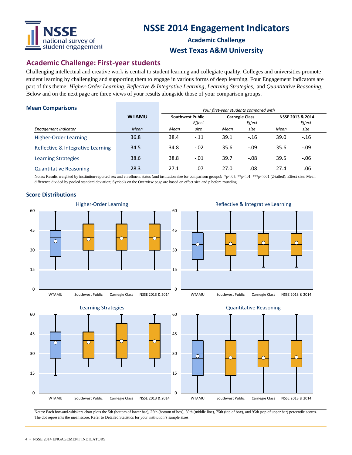

**Academic Challenge**

### **West Texas A&M University**

# **Academic Challenge: First-year students**

Challenging intellectual and creative work is central to student learning and collegiate quality. Colleges and universities promote student learning by challenging and supporting them to engage in various forms of deep learning. Four Engagement Indicators are part of this theme: *Higher-Order Learning, Reflective & Integrative Learning, Learning Strategies,* and *Quantitative Reasoning.*  Below and on the next page are three views of your results alongside those of your comparison groups.

| <b>Mean Comparisons</b>           |              | Your first-year students compared with |                         |      |                       |      |                  |  |
|-----------------------------------|--------------|----------------------------------------|-------------------------|------|-----------------------|------|------------------|--|
|                                   | <b>WTAMU</b> |                                        | <b>Southwest Public</b> |      | <b>Carnegie Class</b> |      | NSSE 2013 & 2014 |  |
| Engagement Indicator              | Mean         | Mean                                   | Effect<br>size          | Mean | Effect<br>size        | Mean | Effect<br>size   |  |
| <b>Higher-Order Learning</b>      | 36.8         | 38.4                                   | $-.11$                  | 39.1 | $-.16$                | 39.0 | $-.16$           |  |
| Reflective & Integrative Learning | 34.5         | 34.8                                   | $-.02$                  | 35.6 | $-.09$                | 35.6 | $-.09$           |  |
| Learning Strategies               | 38.6         | 38.8                                   | $-.01$                  | 39.7 | $-.08$                | 39.5 | $-0.06$          |  |
| <b>Quantitative Reasoning</b>     | 28.3         | 27.1                                   | .07                     | 27.0 | .08                   | 27.4 | .06              |  |

Notes: Results weighted by institution-reported sex and enrollment status (and institution size for comparison groups); \*p<.05, \*\*p<.01, \*\*\*p<.001 (2-tailed); Effect size: Mean difference divided by pooled standard deviation; Symbols on the Overview page are based on effect size and p before rounding.

#### **Score Distributions**



Notes: Each box-and-whiskers chart plots the 5th (bottom of lower bar), 25th (bottom of box), 50th (middle line), 75th (top of box), and 95th (top of upper bar) percentile scores. The dot represents the mean score. Refer to Detailed Statistics for your institution's sample sizes.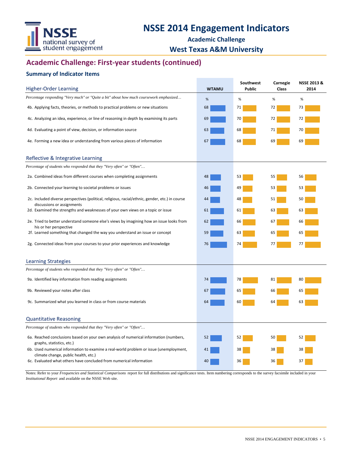

**Academic Challenge West Texas A&M University**

# **Academic Challenge: First-year students (continued)**

#### **Summary of Indicator Items**

| <b>Higher-Order Learning</b>                                                                                                   | <b>WTAMU</b> | Southwest<br><b>Public</b> | Carnegie<br>Class | <b>NSSE 2013 &amp;</b><br>2014 |
|--------------------------------------------------------------------------------------------------------------------------------|--------------|----------------------------|-------------------|--------------------------------|
|                                                                                                                                |              |                            |                   |                                |
| Percentage responding "Very much" or "Ouite a bit" about how much coursework emphasized                                        | %            | %                          | %                 | %                              |
| 4b. Applying facts, theories, or methods to practical problems or new situations                                               | 68           | 71                         | 72                | 73                             |
| 4c. Analyzing an idea, experience, or line of reasoning in depth by examining its parts                                        | 69           |                            | 72                | 72                             |
| 4d. Evaluating a point of view, decision, or information source                                                                | 63           |                            | 71                | 70                             |
| 4e. Forming a new idea or understanding from various pieces of information                                                     | 67           |                            | 69                | 69                             |
| Reflective & Integrative Learning                                                                                              |              |                            |                   |                                |
| Percentage of students who responded that they "Very often" or "Often"                                                         |              |                            |                   |                                |
| 2a. Combined ideas from different courses when completing assignments                                                          | 48           | 53                         | 55                | 56                             |
| 2b. Connected your learning to societal problems or issues                                                                     | 46           |                            | 53                | 53                             |
| 2c. Included diverse perspectives (political, religious, racial/ethnic, gender, etc.) in course<br>discussions or assignments  | 44           |                            | 51                | 50                             |
| 2d. Examined the strengths and weaknesses of your own views on a topic or issue                                                | 61           | 61                         | 63                | 63                             |
| 2e. Tried to better understand someone else's views by imagining how an issue looks from<br>his or her perspective             | 62           | 66                         | 67                | 66                             |
| 2f. Learned something that changed the way you understand an issue or concept                                                  | 59           |                            | 65                | 65                             |
| 2g. Connected ideas from your courses to your prior experiences and knowledge                                                  | 76           |                            | 77                | 77                             |
| <b>Learning Strategies</b>                                                                                                     |              |                            |                   |                                |
| Percentage of students who responded that they "Very often" or "Often"                                                         |              |                            |                   |                                |
| 9a. Identified key information from reading assignments                                                                        | 74           | 78                         | 81                | 80                             |
| 9b. Reviewed your notes after class                                                                                            | 67           |                            | 66                | 65                             |
| 9c. Summarized what you learned in class or from course materials                                                              | 64           |                            |                   | 63                             |
| <b>Quantitative Reasoning</b>                                                                                                  |              |                            |                   |                                |
| Percentage of students who responded that they "Very often" or "Often"                                                         |              |                            |                   |                                |
| 6a. Reached conclusions based on your own analysis of numerical information (numbers,<br>graphs, statistics, etc.)             | 52           | 52                         | 50                | 52                             |
| 6b. Used numerical information to examine a real-world problem or issue (unemployment,<br>climate change, public health, etc.) | 41           |                            | 38                | 38                             |
| 6c. Evaluated what others have concluded from numerical information                                                            | 40           | 36                         | 36                | 37                             |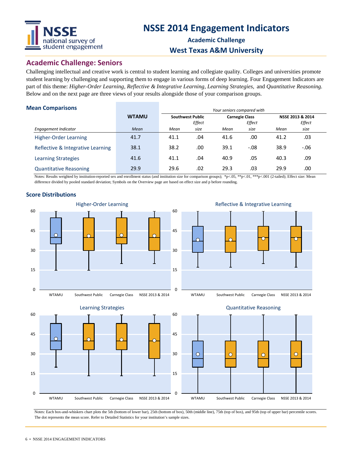

**Academic Challenge**

### **West Texas A&M University**

### **Academic Challenge: Seniors**

Challenging intellectual and creative work is central to student learning and collegiate quality. Colleges and universities promote student learning by challenging and supporting them to engage in various forms of deep learning. Four Engagement Indicators are part of this theme: *Higher-Order Learning, Reflective & Integrative Learning, Learning Strategies,* and *Quantitative Reasoning.*  Below and on the next page are three views of your results alongside those of your comparison groups.

| <b>Mean Comparisons</b>           |              | Your seniors compared with |                         |      |                       |      |                  |  |
|-----------------------------------|--------------|----------------------------|-------------------------|------|-----------------------|------|------------------|--|
|                                   | <b>WTAMU</b> |                            | <b>Southwest Public</b> |      | <b>Carnegie Class</b> |      | NSSE 2013 & 2014 |  |
| Engagement Indicator              | Mean         | Mean                       | Effect<br>size          | Mean | Effect<br>size        | Mean | Effect<br>size   |  |
| Higher-Order Learning             | 41.7         | 41.1                       | .04                     | 41.6 | .00                   | 41.2 | .03              |  |
| Reflective & Integrative Learning | 38.1         | 38.2                       | .00                     | 39.1 | $-.08$                | 38.9 | $-.06$           |  |
| Learning Strategies               | 41.6         | 41.1                       | .04                     | 40.9 | .05                   | 40.3 | .09              |  |
| <b>Quantitative Reasoning</b>     | 29.9         | 29.6                       | .02                     | 29.3 | .03                   | 29.9 | .00              |  |

Notes: Results weighted by institution-reported sex and enrollment status (and institution size for comparison groups); \*p<.05, \*\*p<.01, \*\*\*p<.001 (2-tailed); Effect size: Mean difference divided by pooled standard deviation; Symbols on the Overview page are based on effect size and p before rounding.

#### **Score Distributions**



Notes: Each box-and-whiskers chart plots the 5th (bottom of lower bar), 25th (bottom of box), 50th (middle line), 75th (top of box), and 95th (top of upper bar) percentile scores. The dot represents the mean score. Refer to Detailed Statistics for your institution's sample sizes.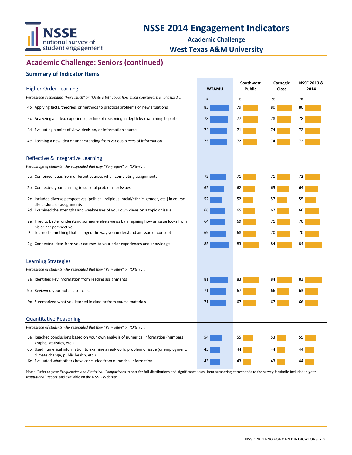

**West Texas A&M University Academic Challenge**

# **Academic Challenge: Seniors (continued)**

#### **Summary of Indicator Items**

|                                                                                                                                |              | Southwest     | Carnegie     | <b>NSSE 2013 &amp;</b> |
|--------------------------------------------------------------------------------------------------------------------------------|--------------|---------------|--------------|------------------------|
| <b>Higher-Order Learning</b>                                                                                                   | <b>WTAMU</b> | <b>Public</b> | <b>Class</b> | 2014                   |
| Percentage responding "Very much" or "Quite a bit" about how much coursework emphasized                                        | %            | %             | %            | %                      |
| 4b. Applying facts, theories, or methods to practical problems or new situations                                               | 83           | 79            | 80           | 80                     |
| 4c. Analyzing an idea, experience, or line of reasoning in depth by examining its parts                                        | 78           | 77            | 78           | 78                     |
| 4d. Evaluating a point of view, decision, or information source                                                                | 74           | 71            | 74           | 72                     |
| 4e. Forming a new idea or understanding from various pieces of information                                                     | 75           |               |              | 72                     |
| Reflective & Integrative Learning                                                                                              |              |               |              |                        |
| Percentage of students who responded that they "Very often" or "Often"                                                         |              |               |              |                        |
| 2a. Combined ideas from different courses when completing assignments                                                          | 72           | 71            | 71           | 72                     |
| 2b. Connected your learning to societal problems or issues                                                                     | 62           | 62            | 65           | 64                     |
| 2c. Included diverse perspectives (political, religious, racial/ethnic, gender, etc.) in course<br>discussions or assignments  | 52           | 52            | 57           | 55                     |
| 2d. Examined the strengths and weaknesses of your own views on a topic or issue                                                | 66           | 65            | 67           | 66                     |
| 2e. Tried to better understand someone else's views by imagining how an issue looks from<br>his or her perspective             | 64           |               | 71           | 70                     |
| 2f. Learned something that changed the way you understand an issue or concept                                                  | 69           |               |              | 70                     |
| 2g. Connected ideas from your courses to your prior experiences and knowledge                                                  | 85           |               | 84           | 84                     |
| <b>Learning Strategies</b>                                                                                                     |              |               |              |                        |
| Percentage of students who responded that they "Very often" or "Often"                                                         |              |               |              |                        |
| 9a. Identified key information from reading assignments                                                                        | 81           | 83            | 84           | 83                     |
| 9b. Reviewed your notes after class                                                                                            | 71           |               | 66           | 63                     |
| 9c. Summarized what you learned in class or from course materials                                                              | 71           |               | 67           | 66                     |
| <b>Quantitative Reasoning</b>                                                                                                  |              |               |              |                        |
| Percentage of students who responded that they "Very often" or "Often"                                                         |              |               |              |                        |
| 6a. Reached conclusions based on your own analysis of numerical information (numbers,<br>graphs, statistics, etc.)             | 54           | 55            | 53           | 55                     |
| 6b. Used numerical information to examine a real-world problem or issue (unemployment,<br>climate change, public health, etc.) | 45           |               |              |                        |
| 6c. Evaluated what others have concluded from numerical information                                                            | 43           |               | 43           |                        |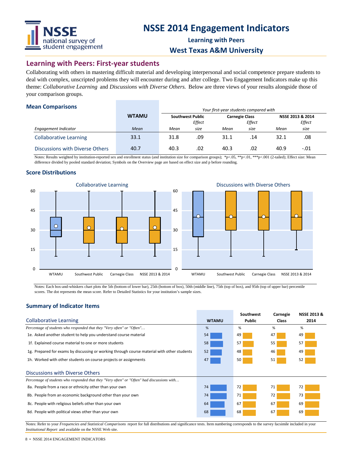

**Learning with Peers**

### **West Texas A&M University**

### **Learning with Peers: First-year students**

Collaborating with others in mastering difficult material and developing interpersonal and social competence prepare students to deal with complex, unscripted problems they will encounter during and after college. Two Engagement Indicators make up this theme: *Collaborative Learning* and *Discussions with Diverse Others.* Below are three views of your results alongside those of your comparison groups.

#### **Mean Comparisons**

| ICAII CUIIIµAI ISUIIS           |              | Your first-year students compared with |               |                       |        |      |        |  |                  |  |  |
|---------------------------------|--------------|----------------------------------------|---------------|-----------------------|--------|------|--------|--|------------------|--|--|
|                                 | <b>WTAMU</b> | <b>Southwest Public</b>                |               | <b>Carnegie Class</b> |        |      |        |  | NSSE 2013 & 2014 |  |  |
|                                 |              |                                        | <b>Effect</b> |                       | Effect |      | Effect |  |                  |  |  |
| Engagement Indicator            | Mean         | Mean                                   | size          | Mean                  | size   | Mean | size   |  |                  |  |  |
| <b>Collaborative Learning</b>   | 33.1         | 31.8                                   | .09           | 31.1                  | .14    | 32.1 | .08    |  |                  |  |  |
| Discussions with Diverse Others | 40.7         | 40.3                                   | .02           | 40.3                  | .02    | 40.9 | $-.01$ |  |                  |  |  |

Notes: Results weighted by institution-reported sex and enrollment status (and institution size for comparison groups); \*p<.05, \*\*p<.01, \*\*\*p<.001 (2-tailed); Effect size: Mean difference divided by pooled standard deviation; Symbols on the Overview page are based on effect size and p before rounding.

#### **Score Distributions**



Notes: Each box-and-whiskers chart plots the 5th (bottom of lower bar), 25th (bottom of box), 50th (middle line), 75th (top of box), and 95th (top of upper bar) percentile scores. The dot represents the mean score. Refer to Detailed Statistics for your institution's sample sizes.

#### **Summary of Indicator Items**

| <b>Collaborative Learning</b>                                                               | <b>WTAMU</b> | Southwest<br><b>Public</b> | Carnegie<br><b>Class</b> | <b>NSSE 2013 &amp;</b><br>2014 |
|---------------------------------------------------------------------------------------------|--------------|----------------------------|--------------------------|--------------------------------|
| Percentage of students who responded that they "Very often" or "Often"                      | %            | %                          | %                        | %                              |
| 1e. Asked another student to help you understand course material                            | 54           | 49                         | 47                       | 49                             |
| 1f. Explained course material to one or more students                                       | 58           | 57                         | 55                       | 57                             |
| 1g. Prepared for exams by discussing or working through course material with other students | 52           | 48                         | 46                       | 49                             |
| 1h. Worked with other students on course projects or assignments                            | 47           | 50                         | 51                       | 52                             |
| Discussions with Diverse Others                                                             |              |                            |                          |                                |
| Percentage of students who responded that they "Very often" or "Often" had discussions with |              |                            |                          |                                |
| 8a. People from a race or ethnicity other than your own                                     | 74           | 72                         | 71                       | 72                             |
| 8b. People from an economic background other than your own                                  | 74           | 71                         | 72                       | 73                             |
| 8c. People with religious beliefs other than your own                                       | 64           | 67                         | 67                       | 69                             |
| 8d. People with political views other than your own                                         | 68           | 68                         | 67                       | 69                             |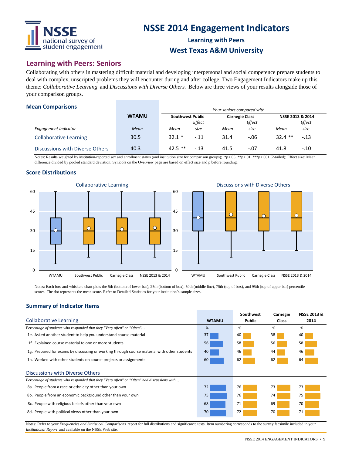

**Learning with Peers**

#### **West Texas A&M University**

### **Learning with Peers: Seniors**

Collaborating with others in mastering difficult material and developing interpersonal and social competence prepare students to deal with complex, unscripted problems they will encounter during and after college. Two Engagement Indicators make up this theme: *Collaborative Learning* and *Discussions with Diverse Others.* Below are three views of your results alongside those of your comparison groups.

#### **Mean Comparisons**

| ICAII CUIIIµAI ISUIIS           |              | Your seniors compared with |        |                       |        |           |                  |  |  |
|---------------------------------|--------------|----------------------------|--------|-----------------------|--------|-----------|------------------|--|--|
|                                 | <b>WTAMU</b> | <b>Southwest Public</b>    |        | <b>Carnegie Class</b> |        |           | NSSE 2013 & 2014 |  |  |
|                                 |              |                            | Effect |                       | Effect |           | Effect           |  |  |
| Engagement Indicator            | Mean         | Mean                       | size   | Mean                  | size   | Mean      | size             |  |  |
| <b>Collaborative Learning</b>   | 30.5         | $32.1*$                    | $-.11$ | 31.4                  | $-.06$ | $32.4$ ** | $-.13$           |  |  |
| Discussions with Diverse Others | 40.3         | $42.5$ **                  | $-.13$ | 41.5                  | $-.07$ | 41.8      | $-.10$           |  |  |

Notes: Results weighted by institution-reported sex and enrollment status (and institution size for comparison groups); \*p<.05, \*\*p<.01, \*\*\*p<.001 (2-tailed); Effect size: Mean difference divided by pooled standard deviation; Symbols on the Overview page are based on effect size and p before rounding.

#### **Score Distributions**



Notes: Each box-and-whiskers chart plots the 5th (bottom of lower bar), 25th (bottom of box), 50th (middle line), 75th (top of box), and 95th (top of upper bar) percentile scores. The dot represents the mean score. Refer to Detailed Statistics for your institution's sample sizes.

#### **Summary of Indicator Items**

|                                                                                             |              | Southwest     | Carnegie     | <b>NSSE 2013 &amp;</b> |
|---------------------------------------------------------------------------------------------|--------------|---------------|--------------|------------------------|
| <b>Collaborative Learning</b>                                                               | <b>WTAMU</b> | <b>Public</b> | <b>Class</b> | 2014                   |
| Percentage of students who responded that they "Very often" or "Often"                      | %            | %             | %            | %                      |
| 1e. Asked another student to help you understand course material                            | 37           | 40            | 38           | 40                     |
| 1f. Explained course material to one or more students                                       | 56           | 58            | 56           | 58                     |
| 1g. Prepared for exams by discussing or working through course material with other students | 40           | 46            | 44           | 46                     |
| 1h. Worked with other students on course projects or assignments                            | 60           | 62            | 62           | 64                     |
| Discussions with Diverse Others                                                             |              |               |              |                        |
| Percentage of students who responded that they "Very often" or "Often" had discussions with |              |               |              |                        |
| 8a. People from a race or ethnicity other than your own                                     | 72           | 76            | 73           | 73                     |
| 8b. People from an economic background other than your own                                  | 75           | 76            | 74           | 75                     |
| 8c. People with religious beliefs other than your own                                       | 68           | 71            | 69           | 70                     |
| 8d. People with political views other than your own                                         | 70           | 72            | 70           | 71                     |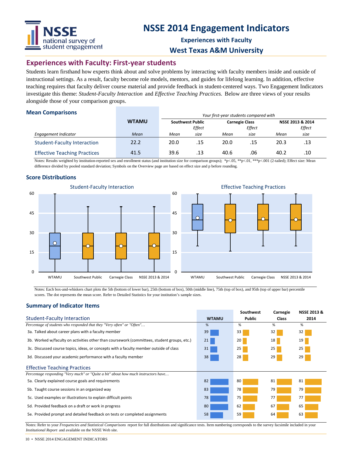

**Experiences with Faculty**

**West Texas A&M University**

# **Experiences with Faculty: First-year students**

Students learn firsthand how experts think about and solve problems by interacting with faculty members inside and outside of instructional settings. As a result, faculty become role models, mentors, and guides for lifelong learning. In addition, effective teaching requires that faculty deliver course material and provide feedback in student-centered ways. Two Engagement Indicators investigate this theme: *Student-Faculty Interaction* and *Effective Teaching Practices.* Below are three views of your results alongside those of your comparison groups.

#### **Mean Comparisons**

| ניוטנו ושעוווטט ווכטו               |              | Your first-year students compared with |        |      |                       |      |                  |  |  |  |
|-------------------------------------|--------------|----------------------------------------|--------|------|-----------------------|------|------------------|--|--|--|
|                                     | <b>WTAMU</b> | <b>Southwest Public</b>                |        |      | <b>Carnegie Class</b> |      | NSSE 2013 & 2014 |  |  |  |
|                                     |              |                                        | Effect |      | Effect                |      | Effect           |  |  |  |
| Engagement Indicator                | Mean         | Mean                                   | size   | Mean | size                  | Mean | size             |  |  |  |
| <b>Student-Faculty Interaction</b>  | 22.2         | 20.0                                   | .15    | 20.0 | .15                   | 20.3 | .13              |  |  |  |
| <b>Effective Teaching Practices</b> | 41.5         | 39.6                                   | .13    | 40.6 | .06                   | 40.2 | .10              |  |  |  |

Notes: Results weighted by institution-reported sex and enrollment status (and institution size for comparison groups); \*p<.05, \*\*p<.01, \*\*\*p<.01 (2-tailed); Effect size: Mean difference divided by pooled standard deviation; Symbols on the Overview page are based on effect size and p before rounding.

#### **Score Distributions**



Notes: Each box-and-whiskers chart plots the 5th (bottom of lower bar), 25th (bottom of box), 50th (middle line), 75th (top of box), and 95th (top of upper bar) percentile scores. The dot represents the mean score. Refer to Detailed Statistics for your institution's sample sizes.

#### **Summary of Indicator Items**

|                                                                                             |              | Southwest     | Carnegie     | <b>NSSE 2013 &amp;</b> |
|---------------------------------------------------------------------------------------------|--------------|---------------|--------------|------------------------|
| <b>Student-Faculty Interaction</b>                                                          | <b>WTAMU</b> | <b>Public</b> | <b>Class</b> | 2014                   |
| Percentage of students who responded that they "Very often" or "Often"                      | %            | %             | %            | %                      |
| 3a. Talked about career plans with a faculty member                                         | 39           | 33            | 32           | 32                     |
| 3b. Worked w/faculty on activities other than coursework (committees, student groups, etc.) | 21           | 20            | 18           | 19                     |
| 3c. Discussed course topics, ideas, or concepts with a faculty member outside of class      | 31           | 25            | 25           | 25                     |
| 3d. Discussed your academic performance with a faculty member                               | 38           | 28            | 29           | 29                     |
| <b>Effective Teaching Practices</b>                                                         |              |               |              |                        |
| Percentage responding "Very much" or "Quite a bit" about how much instructors have          |              |               |              |                        |
| 5a. Clearly explained course goals and requirements                                         | 82           | 80            | 81           | 81                     |
| 5b. Taught course sessions in an organized way                                              | 83           | 78            | 79           | 79                     |
| 5c. Used examples or illustrations to explain difficult points                              | 78           | 75            | 77           | 77                     |
| 5d. Provided feedback on a draft or work in progress                                        | 80           | 62            | 67           | 65                     |
| 5e. Provided prompt and detailed feedback on tests or completed assignments                 | 58           | 59            | 64           | 63                     |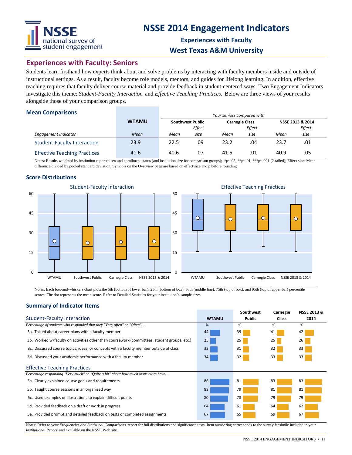

**Experiences with Faculty**

### **West Texas A&M University**

# **Experiences with Faculty: Seniors**

Students learn firsthand how experts think about and solve problems by interacting with faculty members inside and outside of instructional settings. As a result, faculty become role models, mentors, and guides for lifelong learning. In addition, effective teaching requires that faculty deliver course material and provide feedback in student-centered ways. Two Engagement Indicators investigate this theme: *Student-Faculty Interaction* and *Effective Teaching Practices.* Below are three views of your results alongside those of your comparison groups.

#### **Mean Comparisons**

| .ca compansons                      |              | Your seniors compared with |        |      |                       |      |                  |  |  |  |
|-------------------------------------|--------------|----------------------------|--------|------|-----------------------|------|------------------|--|--|--|
|                                     | <b>WTAMU</b> | <b>Southwest Public</b>    |        |      | <b>Carnegie Class</b> |      | NSSE 2013 & 2014 |  |  |  |
|                                     |              |                            | Effect |      | Effect                |      | Effect           |  |  |  |
| Engagement Indicator                | Mean         | Mean                       | size   | Mean | size                  | Mean | size             |  |  |  |
| <b>Student-Faculty Interaction</b>  | 23.9         | 22.5                       | .09    | 23.2 | .04                   | 23.7 | .01              |  |  |  |
| <b>Effective Teaching Practices</b> | 41.6         | 40.6                       | .07    | 41.5 | .01                   | 40.9 | .05              |  |  |  |

Notes: Results weighted by institution-reported sex and enrollment status (and institution size for comparison groups); \*p<.05, \*\*p<.01, \*\*\*p<.001 (2-tailed); Effect size: Mean difference divided by pooled standard deviation; Symbols on the Overview page are based on effect size and p before rounding.

#### **Score Distributions**



Notes: Each box-and-whiskers chart plots the 5th (bottom of lower bar), 25th (bottom of box), 50th (middle line), 75th (top of box), and 95th (top of upper bar) percentile scores. The dot represents the mean score. Refer to Detailed Statistics for your institution's sample sizes.

#### **Summary of Indicator Items**

|                                                                                             |              | Southwest     | Carnegie     | <b>NSSE 2013 &amp;</b> |
|---------------------------------------------------------------------------------------------|--------------|---------------|--------------|------------------------|
| <b>Student-Faculty Interaction</b>                                                          | <b>WTAMU</b> | <b>Public</b> | <b>Class</b> | 2014                   |
| Percentage of students who responded that they "Very often" or "Often"                      | %            | %             | %            | %                      |
| 3a. Talked about career plans with a faculty member                                         | 44           | 39            | 41           | 42                     |
| 3b. Worked w/faculty on activities other than coursework (committees, student groups, etc.) | 25           | 25            | 25           | 26                     |
| 3c. Discussed course topics, ideas, or concepts with a faculty member outside of class      | 33           | 31            | 32           | 33                     |
| 3d. Discussed your academic performance with a faculty member                               | 34           | 32            | 33           | 33                     |
| <b>Effective Teaching Practices</b>                                                         |              |               |              |                        |
| Percentage responding "Very much" or "Quite a bit" about how much instructors have          |              |               |              |                        |
| 5a. Clearly explained course goals and requirements                                         | 86           | 81            | 83           | 83                     |
| 5b. Taught course sessions in an organized way                                              | 83           | 79            | 81           | 81                     |
| 5c. Used examples or illustrations to explain difficult points                              | 80           | 78            | 79           | 79                     |
| 5d. Provided feedback on a draft or work in progress                                        | 64           | 61            | 64           | 62                     |
| 5e. Provided prompt and detailed feedback on tests or completed assignments                 | 67           | 65            | 69           | 67                     |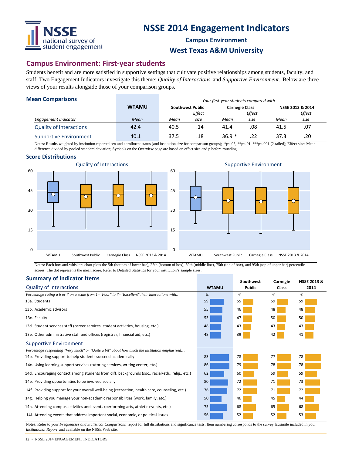

**Campus Environment**

### **West Texas A&M University**

### **Campus Environment: First-year students**

Students benefit and are more satisfied in supportive settings that cultivate positive relationships among students, faculty, and staff. Two Engagement Indicators investigate this theme: *Quality of Interactions* and *Supportive Environment.* Below are three views of your results alongside those of your comparison groups.

#### **Mean Comparisons**

| ean Comparisons                |                                         | Your first-year students compared with |        |                       |               |      |                  |  |  |  |
|--------------------------------|-----------------------------------------|----------------------------------------|--------|-----------------------|---------------|------|------------------|--|--|--|
|                                | <b>WTAMU</b><br><b>Southwest Public</b> |                                        |        | <b>Carnegie Class</b> |               |      | NSSE 2013 & 2014 |  |  |  |
|                                |                                         |                                        | Effect |                       | <b>Effect</b> |      | Effect           |  |  |  |
| Engagement Indicator           | Mean                                    | Mean                                   | size   | Mean                  | size          | Mean | size             |  |  |  |
| <b>Quality of Interactions</b> | 42.4                                    | 40.5                                   | .14    | 41.4                  | .08           | 41.5 | .07              |  |  |  |
| <b>Supportive Environment</b>  | 40.1                                    | 37.5                                   | .18    | $36.9*$               | .22           | 37.3 | .20              |  |  |  |

Notes: Results weighted by institution-reported sex and enrollment status (and institution size for comparison groups); \*p<.05, \*\*p<.01, \*\*\*p<.001 (2-tailed); Effect size: Mean difference divided by pooled standard deviation; Symbols on the Overview page are based on effect size and p before rounding.

#### **Score Distributions**



Notes: Each box-and-whiskers chart plots the 5th (bottom of lower bar), 25th (bottom of box), 50th (middle line), 75th (top of box), and 95th (top of upper bar) percentile scores. The dot represents the mean score. Refer to Detailed Statistics for your institution's sample sizes.

#### **Summary of Indicator Items**

|                                                                                                      |              | Southwest     | Carnegie     | <b>NSSE 2013 &amp;</b> |
|------------------------------------------------------------------------------------------------------|--------------|---------------|--------------|------------------------|
| <b>Quality of Interactions</b>                                                                       | <b>WTAMU</b> | <b>Public</b> | <b>Class</b> | 2014                   |
| Percentage rating a 6 or 7 on a scale from $1 = "Poor"$ to $7 = "Excellent"$ their interactions with | %            | %             | %            | %                      |
| 13a. Students                                                                                        | 59           | 55            | 59           | 59                     |
| 13b. Academic advisors                                                                               | 55           | 46            | 48           | 48                     |
| 13c. Faculty                                                                                         | 53           | 47            | 50           | 50                     |
| 13d. Student services staff (career services, student activities, housing, etc.)                     | 48           | 43            | 43           | 43                     |
| 13e. Other administrative staff and offices (registrar, financial aid, etc.)                         | 48           | 39            | 42           | 41                     |
| <b>Supportive Environment</b>                                                                        |              |               |              |                        |
| Percentage responding "Very much" or "Quite a bit" about how much the institution emphasized         |              |               |              |                        |
| 14b. Providing support to help students succeed academically                                         | 83           | 78            | 77           | 78                     |
| 14c. Using learning support services (tutoring services, writing center, etc.)                       | 86           | 79            | 78           | 78                     |
| 14d. Encouraging contact among students from diff. backgrounds (soc., racial/eth., relig., etc.)     | 62           | 60            | 59           | 59                     |
| 14e. Providing opportunities to be involved socially                                                 | 80           | 72            | 71           | 73                     |
| 14f. Providing support for your overall well-being (recreation, health care, counseling, etc.)       | 76           | 72            | 71           | 72                     |
| 14g. Helping you manage your non-academic responsibilities (work, family, etc.)                      | 50           | 46            | 45           | 44                     |
| 14h. Attending campus activities and events (performing arts, athletic events, etc.)                 | 75           | 68            | 65           | 68                     |
| 14i. Attending events that address important social, economic, or political issues                   | 56           | 52            | 52           | 53                     |
|                                                                                                      |              |               |              |                        |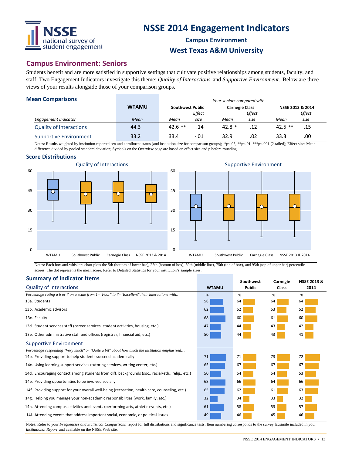

**Campus Environment**

### **West Texas A&M University**

### **Campus Environment: Seniors**

Students benefit and are more satisfied in supportive settings that cultivate positive relationships among students, faculty, and staff. Two Engagement Indicators investigate this theme: *Quality of Interactions* and *Supportive Environment.* Below are three views of your results alongside those of your comparison groups.

#### **Mean Comparisons**

| ean Comparisons                |                                         |           |        | Your seniors compared with |               |                  |        |
|--------------------------------|-----------------------------------------|-----------|--------|----------------------------|---------------|------------------|--------|
|                                | <b>WTAMU</b><br><b>Southwest Public</b> |           |        | <b>Carnegie Class</b>      |               | NSSE 2013 & 2014 |        |
|                                |                                         |           | Effect |                            | <b>Effect</b> |                  | Effect |
| Engagement Indicator           | Mean                                    | Mean      | size   | Mean                       | size          | Mean             | size   |
| <b>Quality of Interactions</b> | 44.3                                    | $42.6$ ** | .14    | 42.8 $*$                   | .12           | $42.5$ **        | .15    |
| <b>Supportive Environment</b>  | 33.2                                    | 33.4      | $-.01$ | 32.9                       | .02           | 33.3             | .00    |

Notes: Results weighted by institution-reported sex and enrollment status (and institution size for comparison groups); \*p<.05, \*\*p<.01, \*\*\*p<.001 (2-tailed); Effect size: Mean difference divided by pooled standard deviation; Symbols on the Overview page are based on effect size and p before rounding.

#### **Score Distributions**



Notes: Each box-and-whiskers chart plots the 5th (bottom of lower bar), 25th (bottom of box), 50th (middle line), 75th (top of box), and 95th (top of upper bar) percentile scores. The dot represents the mean score. Refer to Detailed Statistics for your institution's sample sizes.

#### **Summary of Indicator Items**

|                                                                                                      |              | Southwest     | Carnegie     | <b>NSSE 2013 &amp;</b> |
|------------------------------------------------------------------------------------------------------|--------------|---------------|--------------|------------------------|
| <b>Quality of Interactions</b>                                                                       | <b>WTAMU</b> | <b>Public</b> | <b>Class</b> | 2014                   |
| Percentage rating a 6 or 7 on a scale from $1 = "Poor"$ to $7 = "Excellent"$ their interactions with | %            | %             | %            | %                      |
| 13a. Students                                                                                        | 58           | 64            | 64           | 64                     |
| 13b. Academic advisors                                                                               | 62           | 52            | 53           | 52                     |
| 13c. Faculty                                                                                         | 68           | 60            | 61           | 60                     |
| 13d. Student services staff (career services, student activities, housing, etc.)                     | 47           | 44            | 43           | 42                     |
| 13e. Other administrative staff and offices (registrar, financial aid, etc.)                         | 50           | 44            | 43           | 41                     |
| <b>Supportive Environment</b>                                                                        |              |               |              |                        |
| Percentage responding "Very much" or "Quite a bit" about how much the institution emphasized         |              |               |              |                        |
| 14b. Providing support to help students succeed academically                                         | 71           | 71            | 73           | 72                     |
| 14c. Using learning support services (tutoring services, writing center, etc.)                       | 65           | 67            | 67           | 67                     |
| 14d. Encouraging contact among students from diff. backgrounds (soc., racial/eth., relig., etc.)     | 50           | 54            | 54           | 53                     |
| 14e. Providing opportunities to be involved socially                                                 | 68           | 66            | 64           | 66                     |
| 14f. Providing support for your overall well-being (recreation, health care, counseling, etc.)       | 65           | 62            | 61           | 63                     |
| 14g. Helping you manage your non-academic responsibilities (work, family, etc.)                      | 32           | 34            | 33           | 32                     |
| 14h. Attending campus activities and events (performing arts, athletic events, etc.)                 | 61           | 58            | 53           | 57                     |
| 14i. Attending events that address important social, economic, or political issues                   | 49           | 46            | 45           | 46                     |
|                                                                                                      |              |               |              |                        |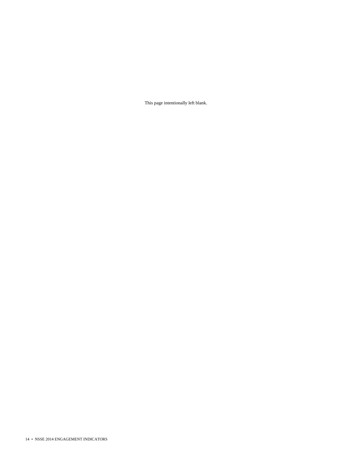This page intentionally left blank.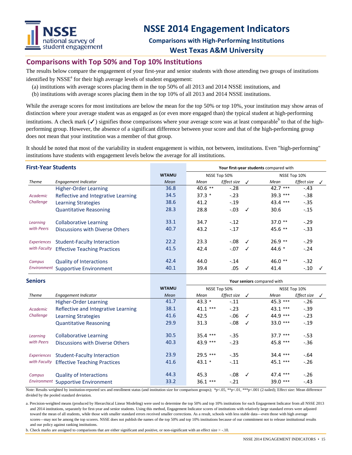

# **West Texas A&M University Comparisons with High-Performing Institutions**

# **Comparisons with Top 50% and Top 10% Institutions**

The results below compare the engagement of your first-year and senior students with those attending two groups of institutions identified by NSSE<sup>ª</sup> for their high average levels of student engagement:

- (a) institutions with average scores placing them in the top 50% of all 2013 and 2014 NSSE institutions, and
- (b) institutions with average scores placing them in the top 10% of all 2013 and 2014 NSSE institutions.

While the average scores for most institutions are below the mean for the top 50% or top 10%, your institution may show areas of distinction where your average student was as engaged as (or even more engaged than) the typical student at high-performing institutions. A check mark ( $\checkmark$ ) signifies those comparisons where your average score was at least comparable<sup>b</sup> to that of the highperforming group. However, the absence of a significant difference between your score and that of the high-performing group does not mean that your institution was a member of that group.

It should be noted that most of the variability in student engagement is within, not between, institutions. Even "high-performing" institutions have students with engagement levels below the average for all institutions.

|                 | <b>First-Year Students</b>          |              |           |                          | Your first-year students compared with |           |              |   |  |
|-----------------|-------------------------------------|--------------|-----------|--------------------------|----------------------------------------|-----------|--------------|---|--|
|                 |                                     | <b>WTAMU</b> |           | NSSE Top 50%             |                                        |           | NSSE Top 10% |   |  |
| <b>Theme</b>    | Engagement Indicator                | Mean         | Mean      | Effect size              | $\checkmark$                           | Mean      | Effect size  | ✓ |  |
|                 | Higher-Order Learning               | 36.8         | $40.6$ ** | $-.28$                   |                                        | $42.7***$ | $-.43$       |   |  |
| <b>Academic</b> | Reflective and Integrative Learning | 34.5         | $37.3*$   | $-.23$                   |                                        | $39.3***$ | $-.38$       |   |  |
| Challenge       | <b>Learning Strategies</b>          | 38.6         | 41.2      | $-.19$                   |                                        | $43.4***$ | $-.35$       |   |  |
|                 | <b>Quantitative Reasoning</b>       | 28.3         | 28.8      | $-0.03 \quad \checkmark$ |                                        | 30.6      | $-.15$       |   |  |
| Learning        | <b>Collaborative Learning</b>       | 33.1         | 34.7      | $-.12$                   |                                        | $37.0**$  | $-.29$       |   |  |
| with Peers      | Discussions with Diverse Others     | 40.7         | 43.2      | $-.17$                   |                                        | $45.6$ ** | $-.33$       |   |  |
| Experiences     | <b>Student-Faculty Interaction</b>  | 22.2         | 23.3      | $-0.08$                  | $\sqrt{ }$                             | $26.9$ ** | $-.29$       |   |  |
| with Faculty    | <b>Effective Teaching Practices</b> | 41.5         | 42.4      | $-.07$                   | $\checkmark$                           | $44.6*$   | $-.24$       |   |  |
| Campus          | <b>Quality of Interactions</b>      | 42.4         | 44.0      | $-.14$                   |                                        | $46.0**$  | $-.32$       |   |  |
| Environment     | <b>Supportive Environment</b>       | 40.1         | 39.4      | .05                      | ✓                                      | 41.4      | $-.10$       |   |  |

| <b>Seniors</b>  |                                     |              |            |              | Your seniors compared with |            |              |              |  |
|-----------------|-------------------------------------|--------------|------------|--------------|----------------------------|------------|--------------|--------------|--|
|                 |                                     | <b>WTAMU</b> |            | NSSE Top 50% |                            |            | NSSE Top 10% |              |  |
| <b>Theme</b>    | Engagement Indicator                | Mean         | Mean       | Effect size  | $\checkmark$               | Mean       | Effect size  | $\checkmark$ |  |
|                 | Higher-Order Learning               | 41.7         | $43.3*$    | $-.11$       |                            | $45.3***$  | $-.26$       |              |  |
| <b>Academic</b> | Reflective and Integrative Learning | 38.1         | $41.1***$  | $-.23$       |                            | $43.1***$  | $-.39$       |              |  |
| Challenge       | <b>Learning Strategies</b>          | 41.6         | 42.5       | $-0.06$      | $\checkmark$               | 44.9 ***   | $-.23$       |              |  |
|                 | <b>Quantitative Reasoning</b>       | 29.9         | 31.3       | $-0.08$      |                            | $33.0***$  | $-.19$       |              |  |
| Learning        | <b>Collaborative Learning</b>       | 30.5         | $35.4***$  | $-.35$       |                            | $37.7***$  | $-.53$       |              |  |
| with Peers      | Discussions with Diverse Others     | 40.3         | 43.9 ***   | $-.23$       |                            | 45.8 ***   | $-0.36$      |              |  |
| Experiences     | <b>Student-Faculty Interaction</b>  | 23.9         | $29.5$ *** | $-.35$       |                            | $34.4$ *** | $-64$        |              |  |
| with Faculty    | <b>Effective Teaching Practices</b> | 41.6         | $43.1*$    | $-.11$       |                            | $45.1***$  | $-.26$       |              |  |
| Campus          | <b>Quality of Interactions</b>      | 44.3         | 45.3       | -.08         | $\checkmark$               | $47.4$ *** | $-.26$       |              |  |
| Environment     | <b>Supportive Environment</b>       | 33.2         | $36.1***$  | $-.21$       |                            | 39.0 ***   | $-.43$       |              |  |

Note: Results weighted by institution-reported sex and enrollment status (and institution size for comparison groups); \*p<.05, \*\*p<.01, \*\*\*p<.001 (2-tailed); Effect size: Mean difference divided by the pooled standard deviation.

a. Precision-weighted means (produced by Hierarchical Linear Modeling) were used to determine the top 50% and top 10% institutions for each Engagement Indicator from all NSSE 2013 and 2014 institutions, separately for first-year and senior students. Using this method, Engagement Indicator scores of institutions with relatively large standard errors were adjusted toward the mean of all students, while those with smaller standard errors received smaller corrections. As a result, schools with less stable data—even those with high average scores—may not be among the top scorers. NSSE does not publish the names of the top 50% and top 10% institutions because of our commitment not to release institutional results and our policy against ranking institutions.

b. Check marks are assigned to comparisons that are either significant and positive, or non-significant with an effect size > -.10.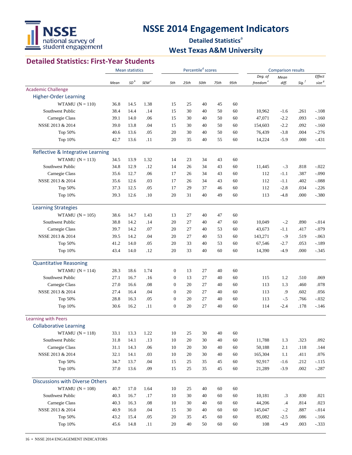

**West Texas A&M University Detailed Statistics<sup>a</sup>** 

# **Detailed Statistics: First-Year Students**

|                                   |      | <b>Mean statistics</b> |                  | Percentile <sup>d</sup> scores |      |      | <b>Comparison results</b> |      |                                 |                 |          |                                 |
|-----------------------------------|------|------------------------|------------------|--------------------------------|------|------|---------------------------|------|---------------------------------|-----------------|----------|---------------------------------|
|                                   | Mean | SD <sup>b</sup>        | SEM <sup>c</sup> | 5th                            | 25th | 50th | 75th                      | 95th | Deg. of<br>freedom <sup>e</sup> | Mean<br>diff.   | Sig. $f$ | Effect<br>$\mathit{size}^{\;g}$ |
| <b>Academic Challenge</b>         |      |                        |                  |                                |      |      |                           |      |                                 |                 |          |                                 |
| <b>Higher-Order Learning</b>      |      |                        |                  |                                |      |      |                           |      |                                 |                 |          |                                 |
| WTAMU $(N = 110)$                 | 36.8 | 14.5                   | 1.38             | 15                             | 25   | 40   | 45                        | 60   |                                 |                 |          |                                 |
| Southwest Public                  | 38.4 | 14.4                   | .14              | 15                             | 30   | 40   | 50                        | 60   | 10,962                          | $-1.6$          | .261     | $-.108$                         |
| Carnegie Class                    | 39.1 | 14.0                   | .06              | 15                             | 30   | 40   | 50                        | 60   | 47,071                          | $-2.2$          | .093     | $-160$                          |
| NSSE 2013 & 2014                  | 39.0 | 13.8                   | .04              | 15                             | 30   | 40   | 50                        | 60   | 154,603                         | $-2.2$          | .092     | $-160$                          |
| Top 50%                           | 40.6 | 13.6                   | .05              | 20                             | 30   | 40   | 50                        | 60   | 76,439                          | $-3.8$          | .004     | $-.276$                         |
| Top 10%                           | 42.7 | 13.6                   | .11              | 20                             | 35   | 40   | 55                        | 60   | 14,224                          | $-5.9$          | .000     | $-431$                          |
| Reflective & Integrative Learning |      |                        |                  |                                |      |      |                           |      |                                 |                 |          |                                 |
| WTAMU $(N = 113)$                 | 34.5 | 13.9                   | 1.32             | 14                             | 23   | 34   | 43                        | 60   |                                 |                 |          |                                 |
| Southwest Public                  | 34.8 | 12.9                   | .12              | 14                             | 26   | 34   | 43                        | 60   | 11,445                          | $-.3$           | .818     | $-.022$                         |
| Carnegie Class                    | 35.6 | 12.7                   | .06              | 17                             | 26   | 34   | 43                        | 60   | 112                             | $-1.1$          | .387     | $-.090$                         |
| NSSE 2013 & 2014                  | 35.6 | 12.6                   | .03              | 17                             | 26   | 34   | 43                        | 60   | 112                             | $-1.1$          | .402     | $-.088$                         |
| Top 50%                           | 37.3 | 12.5                   | .05              | 17                             | 29   | 37   | 46                        | 60   | 112                             | $-2.8$          | .034     | $-.226$                         |
| Top 10%                           | 39.3 | 12.6                   | .10              | 20                             | 31   | 40   | 49                        | 60   | 113                             | $-4.8$          | .000     | $-.380$                         |
| <b>Learning Strategies</b>        |      |                        |                  |                                |      |      |                           |      |                                 |                 |          |                                 |
| WTAMU ( $N = 105$ )               | 38.6 | 14.7                   | 1.43             | 13                             | 27   | 40   | 47                        | 60   |                                 |                 |          |                                 |
| Southwest Public                  | 38.8 | 14.2                   | .14              | 20                             | 27   | 40   | 47                        | 60   | 10,049                          | $-.2$           | .890     | $-0.014$                        |
| Carnegie Class                    | 39.7 | 14.2                   | .07              | 20                             | 27   | 40   | 53                        | 60   | 43,673                          | $-1.1$          | .417     | $-.079$                         |
| NSSE 2013 & 2014                  | 39.5 | 14.2                   | .04              | 20                             | 27   | 40   | 53                        | 60   | 143,271                         | $-.9$           | .519     | $-.063$                         |
| Top 50%                           | 41.2 | 14.0                   | .05              | 20                             | 33   | 40   | 53                        | 60   | 67,546                          | $-2.7$          | .053     | $-.189$                         |
| Top 10%                           | 43.4 | 14.0                   | .12              | 20                             | 33   | 40   | 60                        | 60   | 14,390                          | $-4.9$          | .000     | $-345$                          |
| <b>Quantitative Reasoning</b>     |      |                        |                  |                                |      |      |                           |      |                                 |                 |          |                                 |
| WTAMU $(N = 114)$                 | 28.3 | 18.6                   | 1.74             | $\boldsymbol{0}$               | 13   | 27   | 40                        | 60   |                                 |                 |          |                                 |
| Southwest Public                  | 27.1 | 16.7                   | .16              | $\boldsymbol{0}$               | 13   | 27   | 40                        | 60   | 115                             | 1.2             | .510     | .069                            |
| Carnegie Class                    | 27.0 | 16.6                   | .08              | $\mathbf{0}$                   | 20   | 27   | 40                        | 60   | 113                             | 1.3             | .460     | .078                            |
| NSSE 2013 & 2014                  | 27.4 | 16.4                   | .04              | $\mathbf{0}$                   | 20   | 27   | 40                        | 60   | 113                             | .9              | .602     | .056                            |
| Top 50%                           | 28.8 | 16.3                   | .05              | $\mathbf{0}$                   | 20   | 27   | 40                        | 60   | 113                             | $-.5$           | .766     | $-0.032$                        |
| Top 10%                           | 30.6 | 16.2                   | .11              | $\mathbf{0}$                   | 20   | 27   | 40                        | 60   | 114                             | $-2.4$          | .178     | $-146$                          |
| Learning with Peers               |      |                        |                  |                                |      |      |                           |      |                                 |                 |          |                                 |
| <b>Collaborative Learning</b>     |      |                        |                  |                                |      |      |                           |      |                                 |                 |          |                                 |
| WTAMU $(N = 118)$                 | 33.1 | 13.3                   | 1.22             | 10                             | 25   | 30   | 40                        | 60   |                                 |                 |          |                                 |
| Southwest Public                  | 31.8 | 14.1                   | .13              | 10                             | 20   | 30   | 40                        | 60   | 11,788                          | 1.3             | .323     | .092                            |
| Carnegie Class                    | 31.1 | 14.3                   | .06              | 10                             | 20   | 30   | 40                        | 60   | 50,188                          | 2.1             | .118     | .144                            |
| NSSE 2013 & 2014                  | 32.1 | 14.1                   | .03              | 10                             | 20   | 30   | 40                        | 60   | 165,304                         | 1.1             | .411     | .076                            |
| Top 50%                           | 34.7 | 13.7                   | .04              | 15                             | 25   | 35   | 45                        | 60   | 92,917                          | $-1.6$          | .212     | $-.115$                         |
| Top 10%                           | 37.0 | 13.6                   | .09              | 15                             | 25   | 35   | 45                        | 60   | 21,289                          | $-3.9$          | .002     | $-.287$                         |
| Discussions with Diverse Others   |      |                        |                  |                                |      |      |                           |      |                                 |                 |          |                                 |
| WTAMU $(N = 108)$                 | 40.7 | 17.0                   | 1.64             | 10                             | 25   | 40   | 60                        | 60   |                                 |                 |          |                                 |
| Southwest Public                  | 40.3 | 16.7                   | .17              | 10                             | 30   | 40   | 60                        | 60   | 10,181                          | $\cdot$ 3       | .830     | .021                            |
| Carnegie Class                    | 40.3 | 16.3                   | .08              | 10                             | 30   | 40   | 60                        | 60   | 44,206                          | $.4\phantom{0}$ | .814     | .023                            |
| NSSE 2013 & 2014                  | 40.9 | 16.0                   | .04              | 15                             | 30   | 40   | 60                        | 60   | 145,047                         | $-.2$           | .887     | $-0.014$                        |
| Top 50%                           | 43.2 | 15.4                   | .05              | 20                             | 35   | 45   | 60                        | 60   | 85,082                          | $-2.5$          | .086     | $-166$                          |
| Top 10%                           | 45.6 | 14.8                   | .11              | 20                             | 40   | 50   | 60                        | 60   | 108                             | $-4.9$          | .003     | $-.333$                         |
|                                   |      |                        |                  |                                |      |      |                           |      |                                 |                 |          |                                 |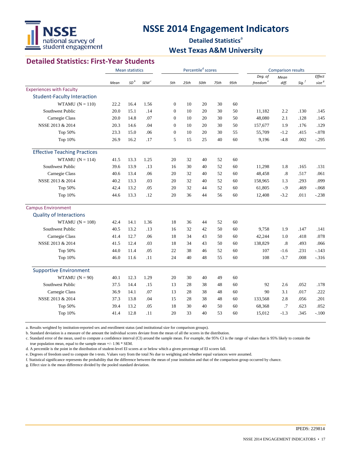

**West Texas A&M University Detailed Statistics<sup>a</sup>** 

# **Detailed Statistics: First-Year Students**

|                                     |      | <b>Mean statistics</b> |                  | Percentile <sup>d</sup> scores |      |      |      | <b>Comparison results</b> |                      |        |          |                   |
|-------------------------------------|------|------------------------|------------------|--------------------------------|------|------|------|---------------------------|----------------------|--------|----------|-------------------|
|                                     |      |                        |                  |                                |      |      |      |                           | Deg. of              | Mean   |          | Effect            |
|                                     | Mean | SD <sup>b</sup>        | SEM <sup>c</sup> | 5th                            | 25th | 50th | 75th | 95th                      | freedom <sup>e</sup> | diff.  | Sig. $f$ | size <sup>g</sup> |
| <b>Experiences with Faculty</b>     |      |                        |                  |                                |      |      |      |                           |                      |        |          |                   |
| <b>Student-Faculty Interaction</b>  |      |                        |                  |                                |      |      |      |                           |                      |        |          |                   |
| WTAMU $(N = 110)$                   | 22.2 | 16.4                   | 1.56             | $\theta$                       | 10   | 20   | 30   | 60                        |                      |        |          |                   |
| Southwest Public                    | 20.0 | 15.1                   | .14              | $\theta$                       | 10   | 20   | 30   | 50                        | 11,182               | 2.2    | .130     | .145              |
| Carnegie Class                      | 20.0 | 14.8                   | .07              | $\theta$                       | 10   | 20   | 30   | 50                        | 48,080               | 2.1    | .128     | .145              |
| NSSE 2013 & 2014                    | 20.3 | 14.6                   | .04              | $\theta$                       | 10   | 20   | 30   | 50                        | 157,677              | 1.9    | .176     | .129              |
| Top 50%                             | 23.3 | 15.0                   | .06              | $\theta$                       | 10   | 20   | 30   | 55                        | 55,709               | $-1.2$ | .415     | $-.078$           |
| Top 10%                             | 26.9 | 16.2                   | .17              | 5                              | 15   | 25   | 40   | 60                        | 9,196                | $-4.8$ | .002     | $-.295$           |
| <b>Effective Teaching Practices</b> |      |                        |                  |                                |      |      |      |                           |                      |        |          |                   |
| WTAMU $(N = 114)$                   | 41.5 | 13.3                   | 1.25             | 20                             | 32   | 40   | 52   | 60                        |                      |        |          |                   |
| Southwest Public                    | 39.6 | 13.9                   | .13              | 16                             | 30   | 40   | 52   | 60                        | 11,298               | 1.8    | .165     | .131              |
| Carnegie Class                      | 40.6 | 13.4                   | .06              | 20                             | 32   | 40   | 52   | 60                        | 48,458               | .8     | .517     | .061              |
| NSSE 2013 & 2014                    | 40.2 | 13.3                   | .03              | 20                             | 32   | 40   | 52   | 60                        | 158,965              | 1.3    | .293     | .099              |
| Top 50%                             | 42.4 | 13.2                   | .05              | 20                             | 32   | 44   | 52   | 60                        | 61,805               | $-9$   | .469     | $-.068$           |
| Top 10%                             | 44.6 | 13.3                   | .12              | 20                             | 36   | 44   | 56   | 60                        | 12,408               | $-3.2$ | .011     | $-.238$           |
| <b>Campus Environment</b>           |      |                        |                  |                                |      |      |      |                           |                      |        |          |                   |
| <b>Quality of Interactions</b>      |      |                        |                  |                                |      |      |      |                           |                      |        |          |                   |
| WTAMU $(N = 108)$                   | 42.4 | 14.1                   | 1.36             | 18                             | 36   | 44   | 52   | 60                        |                      |        |          |                   |
| <b>Southwest Public</b>             | 40.5 | 13.2                   | .13              | 16                             | 32   | 42   | 50   | 60                        | 9,758                | 1.9    | .147     | .141              |
| Carnegie Class                      | 41.4 | 12.7                   | .06              | 18                             | 34   | 43   | 50   | 60                        | 42,244               | 1.0    | .418     | .078              |
| NSSE 2013 & 2014                    | 41.5 | 12.4                   | .03              | 18                             | 34   | 43   | 50   | 60                        | 138,829              | .8     | .493     | .066              |
| Top 50%                             | 44.0 | 11.4                   | .05              | 22                             | 38   | 46   | 52   | 60                        | 107                  | $-1.6$ | .231     | $-143$            |
| Top 10%                             | 46.0 | 11.6                   | .11              | 24                             | 40   | 48   | 55   | 60                        | 108                  | $-3.7$ | .008     | $-0.316$          |
| <b>Supportive Environment</b>       |      |                        |                  |                                |      |      |      |                           |                      |        |          |                   |
| WTAMU $(N = 90)$                    | 40.1 | 12.3                   | 1.29             | 20                             | 30   | 40   | 49   | 60                        |                      |        |          |                   |
| Southwest Public                    | 37.5 | 14.4                   | .15              | 13                             | 28   | 38   | 48   | 60                        | 92                   | 2.6    | .052     | .178              |
| Carnegie Class                      | 36.9 | 14.1                   | .07              | 13                             | 28   | 38   | 48   | 60                        | 90                   | 3.1    | .017     | .222              |
| NSSE 2013 & 2014                    | 37.3 | 13.8                   | .04              | 15                             | 28   | 38   | 48   | 60                        | 133,568              | 2.8    | .056     | .201              |
| Top 50%                             | 39.4 | 13.2                   | .05              | 18                             | 30   | 40   | 50   | 60                        | 68,368               | .7     | .623     | .052              |
| Top 10%                             | 41.4 | 12.8                   | .11              | 20                             | 33   | 40   | 53   | 60                        | 15,012               | $-1.3$ | .345     | $-.100$           |

a. Results weighted by institution-reported sex and enrollment status (and institutional size for comparison groups).

b. Standard deviation is a measure of the amount the individual scores deviate from the mean of all the scores in the distribution.

c. Standard error of the mean, used to compute a confidence interval (CI) around the sample mean. For example, the 95% CI is the range of values that is 95% likely to contain the true population mean, equal to the sample mean +/- 1.96 \* SEM.

d. A percentile is the point in the distribution of student-level EI scores at or below which a given percentage of EI scores fall.

e. Degrees of freedom used to compute the t-tests. Values vary from the total Ns due to weighting and whether equal variances were assumed.

f. Statistical significance represents the probability that the difference between the mean of your institution and that of the comparison group occurred by chance.

g. Effect size is the mean difference divided by the pooled standard deviation.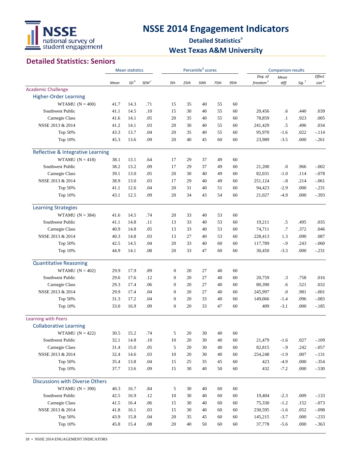

# **West Texas A&M University Detailed Statistics<sup>a</sup>**

# **Detailed Statistics: Seniors**

|                                   | <b>Mean statistics</b> |                 |                  |                  |      | Percentile <sup>d</sup> scores |      |      | <b>Comparison results</b>       |               |          |                             |
|-----------------------------------|------------------------|-----------------|------------------|------------------|------|--------------------------------|------|------|---------------------------------|---------------|----------|-----------------------------|
|                                   | Mean                   | SD <sup>b</sup> | SEM <sup>c</sup> | 5th              | 25th | 50th                           | 75th | 95th | Deg. of<br>freedom <sup>e</sup> | Mean<br>diff. | Sig. $f$ | Effect<br>size <sup>g</sup> |
| <b>Academic Challenge</b>         |                        |                 |                  |                  |      |                                |      |      |                                 |               |          |                             |
| <b>Higher-Order Learning</b>      |                        |                 |                  |                  |      |                                |      |      |                                 |               |          |                             |
| WTAMU $(N = 400)$                 | 41.7                   | 14.3            | .71              | 15               | 35   | 40                             | 55   | 60   |                                 |               |          |                             |
| Southwest Public                  | 41.1                   | 14.5            | .10              | 15               | 30   | 40                             | 55   | 60   | 20,456                          | .6            | .440     | .039                        |
| Carnegie Class                    | 41.6                   | 14.1            | .05              | 20               | 35   | 40                             | 55   | 60   | 78,859                          | $\cdot$ 1     | .923     | .005                        |
| NSSE 2013 & 2014                  | 41.2                   | 14.1            | .03              | 20               | 30   | 40                             | 55   | 60   | 241,429                         | .5            | .496     | .034                        |
| Top 50%                           | 43.3                   | 13.7            | .04              | 20               | 35   | 40                             | 55   | 60   | 95,970                          | $-1.6$        | .022     | $-.114$                     |
| Top 10%                           | 45.3                   | 13.6            | .09              | 20               | 40   | 45                             | 60   | 60   | 23,989                          | $-3.5$        | .000     | $-.261$                     |
| Reflective & Integrative Learning |                        |                 |                  |                  |      |                                |      |      |                                 |               |          |                             |
| WTAMU $(N = 418)$                 | 38.1                   | 13.1            | .64              | 17               | 29   | 37                             | 49   | 60   |                                 |               |          |                             |
| Southwest Public                  | 38.2                   | 13.2            | .09              | 17               | 29   | 37                             | 49   | 60   | 21,200                          | $\cdot$       | .966     | $-.002$                     |
| Carnegie Class                    | 39.1                   | 13.0            | .05              | 20               | 30   | 40                             | 49   | 60   | 82,031                          | $-1.0$        | .114     | $-.078$                     |
| NSSE 2013 & 2014                  | 38.9                   | 13.0            | .03              | 17               | 29   | 40                             | 49   | 60   | 251,124                         | $-.8$         | .214     | $-.061$                     |
| Top 50%                           | 41.1                   | 12.6            | .04              | 20               | 31   | 40                             | 51   | 60   | 94,423                          | $-2.9$        | .000     | $-.231$                     |
| Top 10%                           | 43.1                   | 12.5            | .09              | 20               | 34   | 43                             | 54   | 60   | 21,027                          | $-4.9$        | .000     | $-0.393$                    |
| <b>Learning Strategies</b>        |                        |                 |                  |                  |      |                                |      |      |                                 |               |          |                             |
| WTAMU $(N = 384)$                 | 41.6                   | 14.5            | .74              | 20               | 33   | 40                             | 53   | 60   |                                 |               |          |                             |
| Southwest Public                  | 41.1                   | 14.8            | .11              | 13               | 33   | 40                             | 53   | 60   | 19,211                          | $.5\,$        | .495     | .035                        |
| Carnegie Class                    | 40.9                   | 14.8            | .05              | 13               | 33   | 40                             | 53   | 60   | 74,711                          | .7            | .372     | .046                        |
| NSSE 2013 & 2014                  | 40.3                   | 14.8            | .03              | 13               | 27   | 40                             | 53   | 60   | 228,413                         | 1.3           | .090     | .087                        |
| Top 50%                           | 42.5                   | 14.5            | .04              | 20               | 33   | 40                             | 60   | 60   | 117,789                         | $-9$          | .243     | $-.060$                     |
| Top 10%                           | 44.9                   | 14.1            | .08              | 20               | 33   | 47                             | 60   | 60   | 30,450                          | $-3.3$        | .000     | $-.231$                     |
| <b>Quantitative Reasoning</b>     |                        |                 |                  |                  |      |                                |      |      |                                 |               |          |                             |
| WTAMU $(N = 402)$                 | 29.9                   | 17.9            | .89              | $\boldsymbol{0}$ | 20   | 27                             | 40   | 60   |                                 |               |          |                             |
| Southwest Public                  | 29.6                   | 17.6            | .12              | $\boldsymbol{0}$ | 20   | 27                             | 40   | 60   | 20,759                          | $\cdot$ 3     | .758     | .016                        |
| Carnegie Class                    | 29.3                   | 17.4            | .06              | $\boldsymbol{0}$ | 20   | 27                             | 40   | 60   | 80,390                          | .6            | .521     | .032                        |
| NSSE 2013 & 2014                  | 29.9                   | 17.4            | .04              | $\boldsymbol{0}$ | 20   | 27                             | 40   | 60   | 245,997                         | $\cdot$       | .981     | $-.001$                     |
| Top 50%                           | 31.3                   | 17.2            | .04              | $\boldsymbol{0}$ | 20   | 33                             | 40   | 60   | 149,066                         | $-1.4$        | .096     | $-.083$                     |
| Top 10%                           | 33.0                   | 16.9            | .09              | $\boldsymbol{0}$ | 20   | 33                             | 47   | 60   | 409                             | $-3.1$        | .000     | $-185$                      |
| Learning with Peers               |                        |                 |                  |                  |      |                                |      |      |                                 |               |          |                             |
| <b>Collaborative Learning</b>     |                        |                 |                  |                  |      |                                |      |      |                                 |               |          |                             |
| WTAMU $(N = 422)$                 | 30.5                   | 15.2            | .74              | 5                | 20   | 30                             | 40   | 60   |                                 |               |          |                             |
| Southwest Public                  | 32.1                   | 14.8            | .10              | 10               | 20   | 30                             | 40   | 60   | 21,479                          | $-1.6$        | .027     | $-.109$                     |
| Carnegie Class                    | 31.4                   | 15.0            | .05              | 5                | 20   | 30                             | 40   | 60   | 82,815                          | $-9$          | .242     | $-.057$                     |
| NSSE 2013 & 2014                  | 32.4                   | 14.6            | .03              | 10               | 20   | 30                             | 40   | 60   | 254,248                         | $-1.9$        | .007     | $-.131$                     |
| Top 50%                           | 35.4                   | 13.8            | .04              | 15               | 25   | 35                             | 45   | 60   | 423                             | $-4.9$        | .000     | $-.354$                     |
| Top 10%                           | 37.7                   | 13.6            | .09              | 15               | 30   | 40                             | 50   | 60   | 432                             | $-7.2$        | .000     | $-.530$                     |
| Discussions with Diverse Others   |                        |                 |                  |                  |      |                                |      |      |                                 |               |          |                             |
| WTAMU $(N = 390)$                 | 40.3                   | 16.7            | .84              | 5                | 30   | 40                             | 60   | 60   |                                 |               |          |                             |
| Southwest Public                  | 42.5                   | 16.9            | .12              | 10               | 30   | 40                             | 60   | 60   | 19,404                          | $-2.3$        | .009     | $-.133$                     |
| Carnegie Class                    | 41.5                   | 16.4            | .06              | 15               | 30   | 40                             | 60   | 60   | 75,330                          | $-1.2$        | .152     | $-.073$                     |
| NSSE 2013 & 2014                  | 41.8                   | 16.1            | .03              | 15               | 30   | 40                             | 60   | 60   | 230,595                         | $-1.6$        | .052     | $-.098$                     |
| Top 50%                           | 43.9                   | 15.8            | .04              | 20               | 35   | 45                             | 60   | 60   | 145,215                         | $-3.7$        | .000     | $-.233$                     |
| Top 10%                           | 45.8                   | 15.4            | .08              | 20               | 40   | 50                             | 60   | 60   | 37,778                          | $-5.6$        | .000     | $-363$                      |